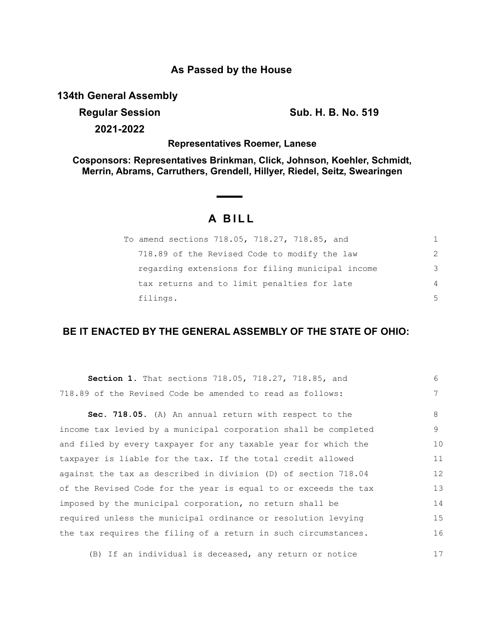## **As Passed by the House**

**134th General Assembly**

**Regular Session Sub. H. B. No. 519** 

**2021-2022**

## **Representatives Roemer, Lanese**

**Cosponsors: Representatives Brinkman, Click, Johnson, Koehler, Schmidt, Merrin, Abrams, Carruthers, Grendell, Hillyer, Riedel, Seitz, Swearingen**

# **A BILL**

| To amend sections 718.05, 718.27, 718.85, and    | 1. |
|--------------------------------------------------|----|
| 718.89 of the Revised Code to modify the law     | 2  |
| regarding extensions for filing municipal income | 3  |
| tax returns and to limit penalties for late      | 4  |
| filings.                                         | 5  |

## **BE IT ENACTED BY THE GENERAL ASSEMBLY OF THE STATE OF OHIO:**

| Section 1. That sections 718.05, 718.27, 718.85, and             | 6  |
|------------------------------------------------------------------|----|
| 718.89 of the Revised Code be amended to read as follows:        | 7  |
| Sec. 718.05. (A) An annual return with respect to the            | 8  |
| income tax levied by a municipal corporation shall be completed  | 9  |
| and filed by every taxpayer for any taxable year for which the   | 10 |
| taxpayer is liable for the tax. If the total credit allowed      | 11 |
| against the tax as described in division (D) of section $718.04$ | 12 |
| of the Revised Code for the year is equal to or exceeds the tax  | 13 |
| imposed by the municipal corporation, no return shall be         | 14 |
| required unless the municipal ordinance or resolution levying    | 15 |
| the tax requires the filing of a return in such circumstances.   | 16 |
|                                                                  |    |

(B) If an individual is deceased, any return or notice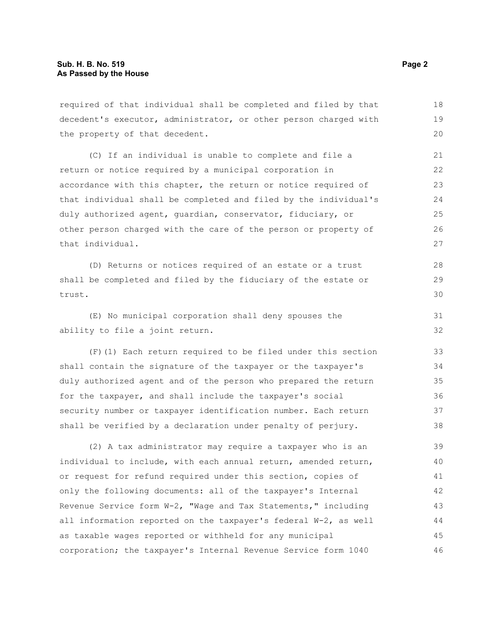required of that individual shall be completed and filed by that decedent's executor, administrator, or other person charged with the property of that decedent. 18 19 20

(C) If an individual is unable to complete and file a return or notice required by a municipal corporation in accordance with this chapter, the return or notice required of that individual shall be completed and filed by the individual's duly authorized agent, guardian, conservator, fiduciary, or other person charged with the care of the person or property of that individual.

(D) Returns or notices required of an estate or a trust shall be completed and filed by the fiduciary of the estate or trust.

(E) No municipal corporation shall deny spouses the ability to file a joint return.

(F)(1) Each return required to be filed under this section shall contain the signature of the taxpayer or the taxpayer's duly authorized agent and of the person who prepared the return for the taxpayer, and shall include the taxpayer's social security number or taxpayer identification number. Each return shall be verified by a declaration under penalty of perjury. 33 34 35 36 37 38

(2) A tax administrator may require a taxpayer who is an individual to include, with each annual return, amended return, or request for refund required under this section, copies of only the following documents: all of the taxpayer's Internal Revenue Service form W-2, "Wage and Tax Statements," including all information reported on the taxpayer's federal W-2, as well as taxable wages reported or withheld for any municipal corporation; the taxpayer's Internal Revenue Service form 1040 39 40 41 42 43 44 45 46

28 29 30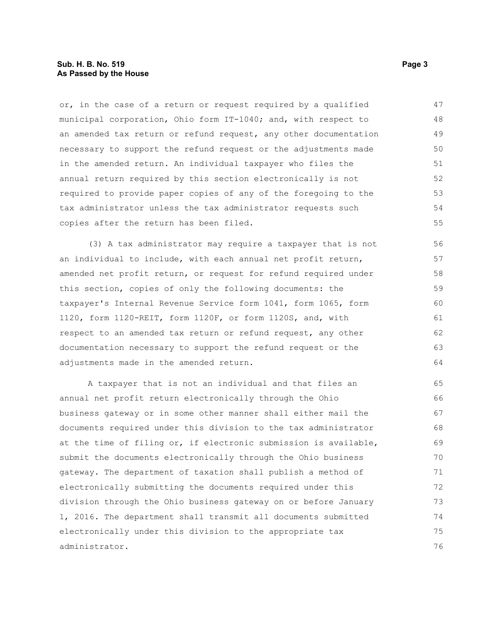#### **Sub. H. B. No. 519 Page 3 As Passed by the House**

or, in the case of a return or request required by a qualified municipal corporation, Ohio form IT-1040; and, with respect to an amended tax return or refund request, any other documentation necessary to support the refund request or the adjustments made in the amended return. An individual taxpayer who files the annual return required by this section electronically is not required to provide paper copies of any of the foregoing to the tax administrator unless the tax administrator requests such copies after the return has been filed. 47 48 49 50 51 52 53 54 55

(3) A tax administrator may require a taxpayer that is not an individual to include, with each annual net profit return, amended net profit return, or request for refund required under this section, copies of only the following documents: the taxpayer's Internal Revenue Service form 1041, form 1065, form 1120, form 1120-REIT, form 1120F, or form 1120S, and, with respect to an amended tax return or refund request, any other documentation necessary to support the refund request or the adjustments made in the amended return.

A taxpayer that is not an individual and that files an annual net profit return electronically through the Ohio business gateway or in some other manner shall either mail the documents required under this division to the tax administrator at the time of filing or, if electronic submission is available, submit the documents electronically through the Ohio business gateway. The department of taxation shall publish a method of electronically submitting the documents required under this division through the Ohio business gateway on or before January 1, 2016. The department shall transmit all documents submitted electronically under this division to the appropriate tax administrator. 65 66 67 68 69 70 71 72 73 74 75 76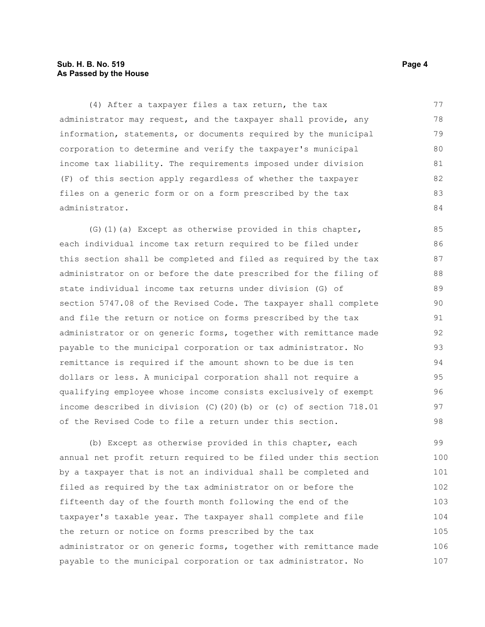#### **Sub. H. B. No. 519 Page 4 As Passed by the House**

(4) After a taxpayer files a tax return, the tax administrator may request, and the taxpayer shall provide, any information, statements, or documents required by the municipal corporation to determine and verify the taxpayer's municipal income tax liability. The requirements imposed under division (F) of this section apply regardless of whether the taxpayer files on a generic form or on a form prescribed by the tax administrator. 77 78 79 80 81 82 83 84

(G)(1)(a) Except as otherwise provided in this chapter, each individual income tax return required to be filed under this section shall be completed and filed as required by the tax administrator on or before the date prescribed for the filing of state individual income tax returns under division (G) of section 5747.08 of the Revised Code. The taxpayer shall complete and file the return or notice on forms prescribed by the tax administrator or on generic forms, together with remittance made payable to the municipal corporation or tax administrator. No remittance is required if the amount shown to be due is ten dollars or less. A municipal corporation shall not require a qualifying employee whose income consists exclusively of exempt income described in division (C)(20)(b) or (c) of section 718.01 of the Revised Code to file a return under this section.

(b) Except as otherwise provided in this chapter, each annual net profit return required to be filed under this section by a taxpayer that is not an individual shall be completed and filed as required by the tax administrator on or before the fifteenth day of the fourth month following the end of the taxpayer's taxable year. The taxpayer shall complete and file the return or notice on forms prescribed by the tax administrator or on generic forms, together with remittance made payable to the municipal corporation or tax administrator. No 99 100 101 102 103 104 105 106 107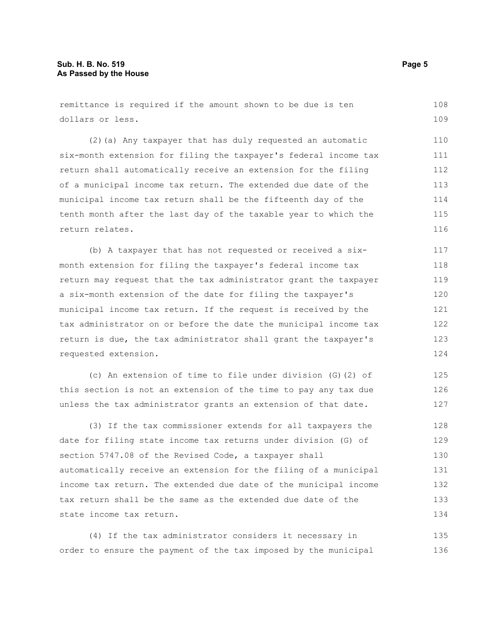remittance is required if the amount shown to be due is ten dollars or less. 108 109

(2)(a) Any taxpayer that has duly requested an automatic six-month extension for filing the taxpayer's federal income tax return shall automatically receive an extension for the filing of a municipal income tax return. The extended due date of the municipal income tax return shall be the fifteenth day of the tenth month after the last day of the taxable year to which the return relates. 110 111 112 113 114 115 116

(b) A taxpayer that has not requested or received a sixmonth extension for filing the taxpayer's federal income tax return may request that the tax administrator grant the taxpayer a six-month extension of the date for filing the taxpayer's municipal income tax return. If the request is received by the tax administrator on or before the date the municipal income tax return is due, the tax administrator shall grant the taxpayer's requested extension.

(c) An extension of time to file under division (G)(2) of this section is not an extension of the time to pay any tax due unless the tax administrator grants an extension of that date. 125 126 127

(3) If the tax commissioner extends for all taxpayers the date for filing state income tax returns under division (G) of section 5747.08 of the Revised Code, a taxpayer shall automatically receive an extension for the filing of a municipal income tax return. The extended due date of the municipal income tax return shall be the same as the extended due date of the state income tax return. 128 129 130 131 132 133 134

(4) If the tax administrator considers it necessary in order to ensure the payment of the tax imposed by the municipal 135 136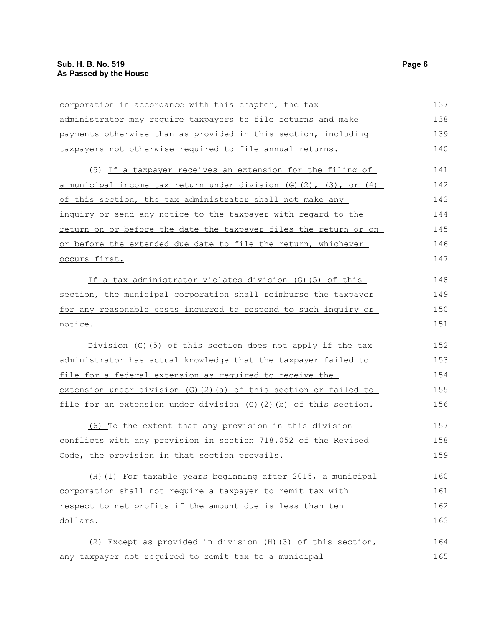corporation in accordance with this chapter, the tax administrator may require taxpayers to file returns and make payments otherwise than as provided in this section, including taxpayers not otherwise required to file annual returns. 137 138 139 140

(5) If a taxpayer receives an extension for the filing of a municipal income tax return under division  $(G)(2)$ ,  $(3)$ , or  $(4)$ of this section, the tax administrator shall not make any inquiry or send any notice to the taxpayer with regard to the return on or before the date the taxpayer files the return or on or before the extended due date to file the return, whichever occurs first. 141 142 143 144 145 146 147

If a tax administrator violates division (G)(5) of this section, the municipal corporation shall reimburse the taxpayer for any reasonable costs incurred to respond to such inquiry or notice.

Division (G)(5) of this section does not apply if the tax administrator has actual knowledge that the taxpayer failed to file for a federal extension as required to receive the extension under division (G)(2)(a) of this section or failed to file for an extension under division (G)(2)(b) of this section. 152 153 154 155 156

(6) To the extent that any provision in this division conflicts with any provision in section 718.052 of the Revised Code, the provision in that section prevails. 157 158 159

(H)(1) For taxable years beginning after 2015, a municipal corporation shall not require a taxpayer to remit tax with respect to net profits if the amount due is less than ten dollars. 160 161 162 163

(2) Except as provided in division (H)(3) of this section, any taxpayer not required to remit tax to a municipal 164 165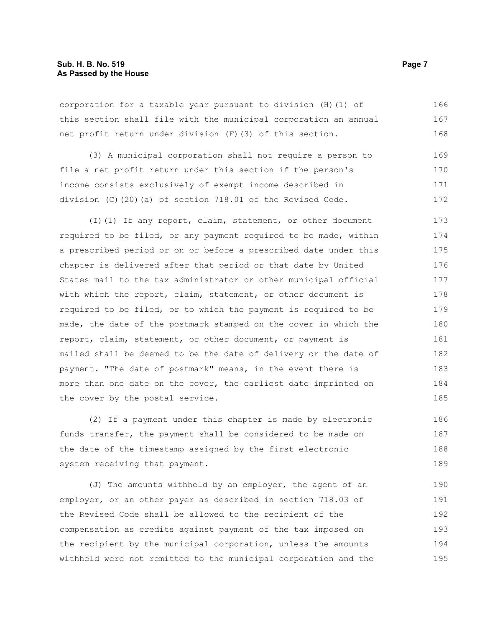corporation for a taxable year pursuant to division (H)(1) of this section shall file with the municipal corporation an annual net profit return under division (F)(3) of this section. 166 167 168

(3) A municipal corporation shall not require a person to file a net profit return under this section if the person's income consists exclusively of exempt income described in division (C)(20)(a) of section 718.01 of the Revised Code. 169 170 171 172

(I)(1) If any report, claim, statement, or other document required to be filed, or any payment required to be made, within a prescribed period or on or before a prescribed date under this chapter is delivered after that period or that date by United States mail to the tax administrator or other municipal official with which the report, claim, statement, or other document is required to be filed, or to which the payment is required to be made, the date of the postmark stamped on the cover in which the report, claim, statement, or other document, or payment is mailed shall be deemed to be the date of delivery or the date of payment. "The date of postmark" means, in the event there is more than one date on the cover, the earliest date imprinted on the cover by the postal service. 173 174 175 176 177 178 179 180 181 182 183 184 185

(2) If a payment under this chapter is made by electronic funds transfer, the payment shall be considered to be made on the date of the timestamp assigned by the first electronic system receiving that payment. 186 187 188 189

(J) The amounts withheld by an employer, the agent of an employer, or an other payer as described in section 718.03 of the Revised Code shall be allowed to the recipient of the compensation as credits against payment of the tax imposed on the recipient by the municipal corporation, unless the amounts withheld were not remitted to the municipal corporation and the 190 191 192 193 194 195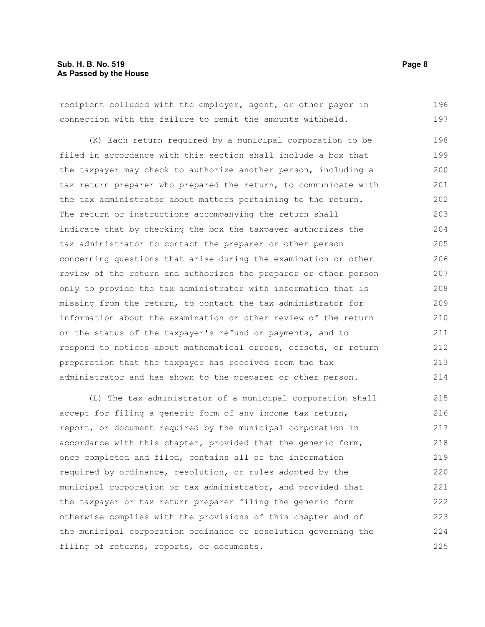recipient colluded with the employer, agent, or other payer in connection with the failure to remit the amounts withheld. 196 197

(K) Each return required by a municipal corporation to be filed in accordance with this section shall include a box that the taxpayer may check to authorize another person, including a tax return preparer who prepared the return, to communicate with the tax administrator about matters pertaining to the return. The return or instructions accompanying the return shall indicate that by checking the box the taxpayer authorizes the tax administrator to contact the preparer or other person concerning questions that arise during the examination or other review of the return and authorizes the preparer or other person only to provide the tax administrator with information that is missing from the return, to contact the tax administrator for information about the examination or other review of the return or the status of the taxpayer's refund or payments, and to respond to notices about mathematical errors, offsets, or return preparation that the taxpayer has received from the tax administrator and has shown to the preparer or other person. 198 199 200 201 202 203 204 205 206 207 208 209 210 211 212 213 214

(L) The tax administrator of a municipal corporation shall accept for filing a generic form of any income tax return, report, or document required by the municipal corporation in accordance with this chapter, provided that the generic form, once completed and filed, contains all of the information required by ordinance, resolution, or rules adopted by the municipal corporation or tax administrator, and provided that the taxpayer or tax return preparer filing the generic form otherwise complies with the provisions of this chapter and of the municipal corporation ordinance or resolution governing the filing of returns, reports, or documents. 215 216 217 218 219 220 221 222 223 224 225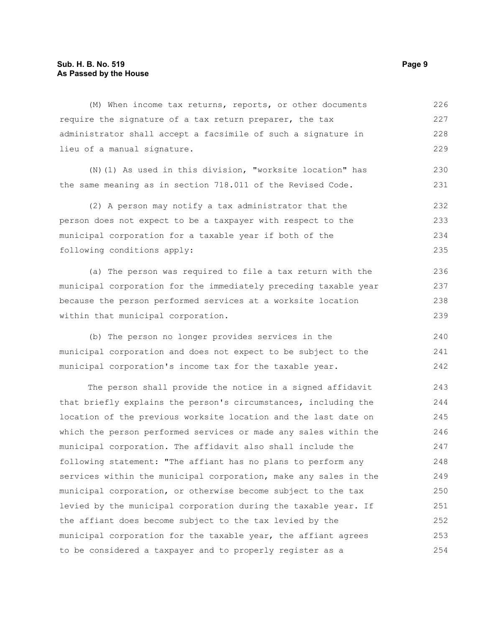#### **Sub. H. B. No. 519 Page 9 As Passed by the House**

(M) When income tax returns, reports, or other documents require the signature of a tax return preparer, the tax administrator shall accept a facsimile of such a signature in lieu of a manual signature. (N)(1) As used in this division, "worksite location" has the same meaning as in section 718.011 of the Revised Code. (2) A person may notify a tax administrator that the person does not expect to be a taxpayer with respect to the municipal corporation for a taxable year if both of the following conditions apply: (a) The person was required to file a tax return with the municipal corporation for the immediately preceding taxable year because the person performed services at a worksite location within that municipal corporation. 226 227 228 229 230 231 232 233 234 235 236 237 238 239

(b) The person no longer provides services in the municipal corporation and does not expect to be subject to the municipal corporation's income tax for the taxable year. 240 241 242

The person shall provide the notice in a signed affidavit that briefly explains the person's circumstances, including the location of the previous worksite location and the last date on which the person performed services or made any sales within the municipal corporation. The affidavit also shall include the following statement: "The affiant has no plans to perform any services within the municipal corporation, make any sales in the municipal corporation, or otherwise become subject to the tax levied by the municipal corporation during the taxable year. If the affiant does become subject to the tax levied by the municipal corporation for the taxable year, the affiant agrees to be considered a taxpayer and to properly register as a 243 244 245 246 247 248 249 250 251 252 253 254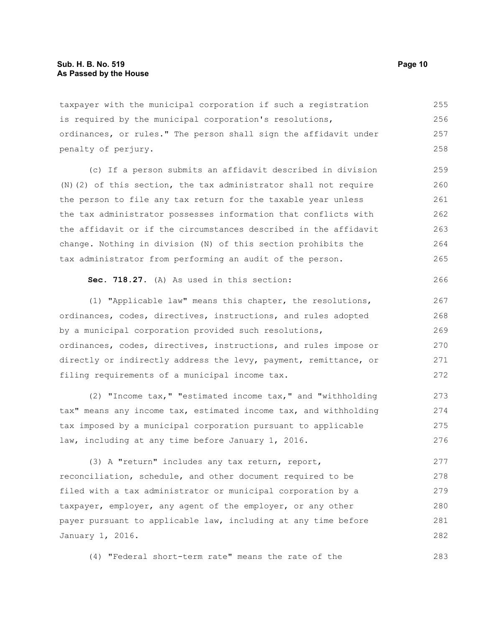taxpayer with the municipal corporation if such a registration is required by the municipal corporation's resolutions, ordinances, or rules." The person shall sign the affidavit under penalty of perjury. 255 256 257 258

(c) If a person submits an affidavit described in division (N)(2) of this section, the tax administrator shall not require the person to file any tax return for the taxable year unless the tax administrator possesses information that conflicts with the affidavit or if the circumstances described in the affidavit change. Nothing in division (N) of this section prohibits the tax administrator from performing an audit of the person. 259 260 261 262 263 264 265

#### **Sec. 718.27.** (A) As used in this section:

(1) "Applicable law" means this chapter, the resolutions, ordinances, codes, directives, instructions, and rules adopted by a municipal corporation provided such resolutions, ordinances, codes, directives, instructions, and rules impose or directly or indirectly address the levy, payment, remittance, or filing requirements of a municipal income tax. 267 268 269 270 271 272

(2) "Income tax," "estimated income tax," and "withholding tax" means any income tax, estimated income tax, and withholding tax imposed by a municipal corporation pursuant to applicable law, including at any time before January 1, 2016. 273 274 275 276

(3) A "return" includes any tax return, report, reconciliation, schedule, and other document required to be filed with a tax administrator or municipal corporation by a taxpayer, employer, any agent of the employer, or any other payer pursuant to applicable law, including at any time before January 1, 2016. 277 278 279 280 281 282

(4) "Federal short-term rate" means the rate of the

283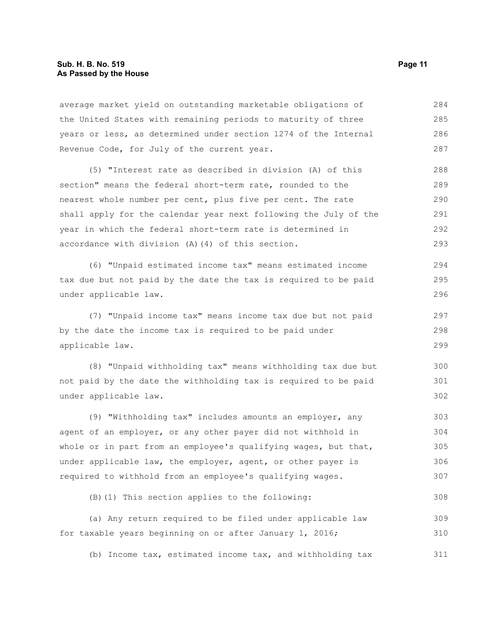#### **Sub. H. B. No. 519 Page 11 As Passed by the House**

average market yield on outstanding marketable obligations of the United States with remaining periods to maturity of three years or less, as determined under section 1274 of the Internal Revenue Code, for July of the current year. 284 285 286 287

(5) "Interest rate as described in division (A) of this section" means the federal short-term rate, rounded to the nearest whole number per cent, plus five per cent. The rate shall apply for the calendar year next following the July of the year in which the federal short-term rate is determined in accordance with division (A)(4) of this section. 288 289 290 291 292 293

(6) "Unpaid estimated income tax" means estimated income tax due but not paid by the date the tax is required to be paid under applicable law. 294 295 296

(7) "Unpaid income tax" means income tax due but not paid by the date the income tax is required to be paid under applicable law.

(8) "Unpaid withholding tax" means withholding tax due but not paid by the date the withholding tax is required to be paid under applicable law. 300 301 302

(9) "Withholding tax" includes amounts an employer, any agent of an employer, or any other payer did not withhold in whole or in part from an employee's qualifying wages, but that, under applicable law, the employer, agent, or other payer is required to withhold from an employee's qualifying wages. 303 304 305 306 307

(B)(1) This section applies to the following:

(a) Any return required to be filed under applicable law for taxable years beginning on or after January 1, 2016; 309 310

(b) Income tax, estimated income tax, and withholding tax 311

297 298 299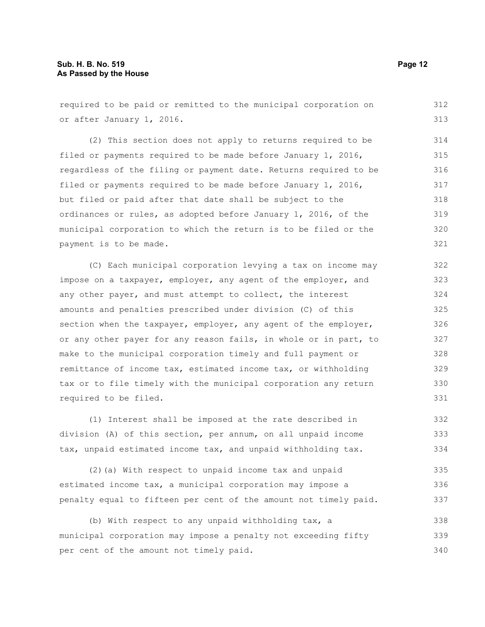#### **Sub. H. B. No. 519 Page 12 As Passed by the House**

required to be paid or remitted to the municipal corporation on or after January 1, 2016. (2) This section does not apply to returns required to be filed or payments required to be made before January 1, 2016, regardless of the filing or payment date. Returns required to be filed or payments required to be made before January 1, 2016, but filed or paid after that date shall be subject to the ordinances or rules, as adopted before January 1, 2016, of the municipal corporation to which the return is to be filed or the payment is to be made. (C) Each municipal corporation levying a tax on income may impose on a taxpayer, employer, any agent of the employer, and any other payer, and must attempt to collect, the interest amounts and penalties prescribed under division (C) of this section when the taxpayer, employer, any agent of the employer, or any other payer for any reason fails, in whole or in part, to make to the municipal corporation timely and full payment or remittance of income tax, estimated income tax, or withholding tax or to file timely with the municipal corporation any return required to be filed. 312 313 314 315 316 317 318 319 320 321 322 323 324 325 326 327 328 329 330 331

(1) Interest shall be imposed at the rate described in division (A) of this section, per annum, on all unpaid income tax, unpaid estimated income tax, and unpaid withholding tax. 332 333 334

(2)(a) With respect to unpaid income tax and unpaid estimated income tax, a municipal corporation may impose a penalty equal to fifteen per cent of the amount not timely paid. 335 336 337

(b) With respect to any unpaid withholding tax, a municipal corporation may impose a penalty not exceeding fifty per cent of the amount not timely paid. 338 339 340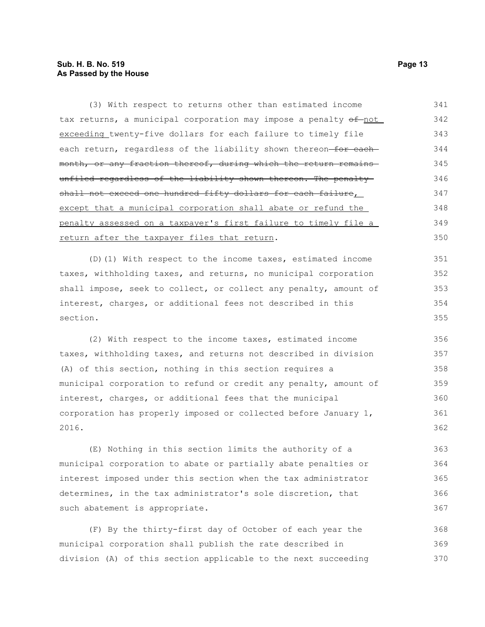### **Sub. H. B. No. 519 Page 13 As Passed by the House**

| (3) With respect to returns other than estimated income          | 341 |
|------------------------------------------------------------------|-----|
| tax returns, a municipal corporation may impose a penalty of not | 342 |
| exceeding twenty-five dollars for each failure to timely file    | 343 |
| each return, regardless of the liability shown thereon-for each- | 344 |
| month, or any fraction thereof, during which the return remains  | 345 |
| unfiled regardless of the liability shown thereon. The penalty-  | 346 |
| shall not exceed one hundred fifty dollars for each failure,     | 347 |
| except that a municipal corporation shall abate or refund the    | 348 |
| penalty assessed on a taxpayer's first failure to timely file a  | 349 |
| return after the taxpayer files that return.                     | 350 |
| (D) (1) With respect to the income taxes, estimated income       | 351 |
| taxes, withholding taxes, and returns, no municipal corporation  | 352 |
| shall impose, seek to collect, or collect any penalty, amount of | 353 |
| interest, charges, or additional fees not described in this      | 354 |
| section.                                                         | 355 |
| (2) With respect to the income taxes, estimated income           | 356 |
| taxes, withholding taxes, and returns not described in division  | 357 |
| (A) of this section, nothing in this section requires a          | 358 |
| municipal corporation to refund or credit any penalty, amount of | 359 |
| interest, charges, or additional fees that the municipal         | 360 |
| corporation has properly imposed or collected before January 1,  | 361 |
| 2016.                                                            | 362 |
| (E) Nothing in this section limits the authority of a            | 363 |
| municipal corporation to abate or partially abate penalties or   | 364 |
| interest imposed under this section when the tax administrator   | 365 |
| determines, in the tax administrator's sole discretion, that     | 366 |
| such abatement is appropriate.                                   | 367 |
| (F) By the thirty-first day of October of each year the          | 368 |

municipal corporation shall publish the rate described in division (A) of this section applicable to the next succeeding 369 370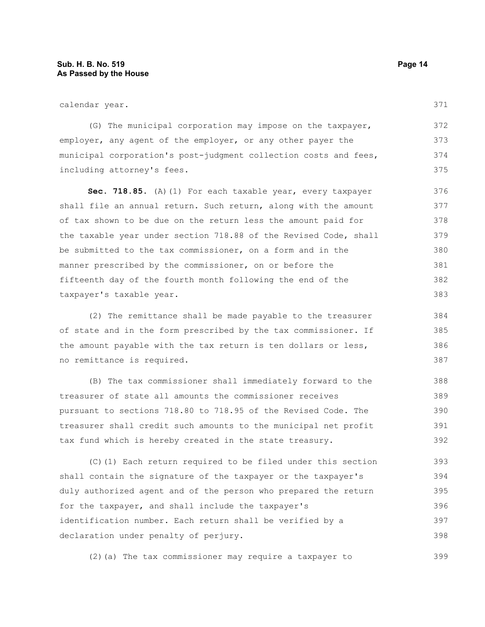calendar year.

(G) The municipal corporation may impose on the taxpayer, employer, any agent of the employer, or any other payer the municipal corporation's post-judgment collection costs and fees, including attorney's fees. 372 373 374 375

Sec. 718.85. (A)(1) For each taxable year, every taxpayer shall file an annual return. Such return, along with the amount of tax shown to be due on the return less the amount paid for the taxable year under section 718.88 of the Revised Code, shall be submitted to the tax commissioner, on a form and in the manner prescribed by the commissioner, on or before the fifteenth day of the fourth month following the end of the taxpayer's taxable year. 376 377 378 379 380 381 382 383

(2) The remittance shall be made payable to the treasurer of state and in the form prescribed by the tax commissioner. If the amount payable with the tax return is ten dollars or less, no remittance is required. 384 385 386 387

(B) The tax commissioner shall immediately forward to the treasurer of state all amounts the commissioner receives pursuant to sections 718.80 to 718.95 of the Revised Code. The treasurer shall credit such amounts to the municipal net profit tax fund which is hereby created in the state treasury. 388 389 390 391 392

(C)(1) Each return required to be filed under this section shall contain the signature of the taxpayer or the taxpayer's duly authorized agent and of the person who prepared the return for the taxpayer, and shall include the taxpayer's identification number. Each return shall be verified by a declaration under penalty of perjury. 393 394 395 396 397 398

(2)(a) The tax commissioner may require a taxpayer to 399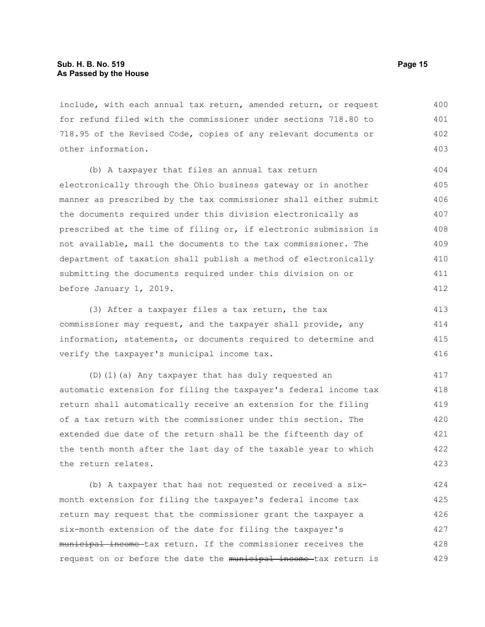include, with each annual tax return, amended return, or request for refund filed with the commissioner under sections 718.80 to 718.95 of the Revised Code, copies of any relevant documents or other information. 400 401 402 403

(b) A taxpayer that files an annual tax return electronically through the Ohio business gateway or in another manner as prescribed by the tax commissioner shall either submit the documents required under this division electronically as prescribed at the time of filing or, if electronic submission is not available, mail the documents to the tax commissioner. The department of taxation shall publish a method of electronically submitting the documents required under this division on or before January 1, 2019.

(3) After a taxpayer files a tax return, the tax commissioner may request, and the taxpayer shall provide, any information, statements, or documents required to determine and verify the taxpayer's municipal income tax. 413 414 415 416

(D)(1)(a) Any taxpayer that has duly requested an automatic extension for filing the taxpayer's federal income tax return shall automatically receive an extension for the filing of a tax return with the commissioner under this section. The extended due date of the return shall be the fifteenth day of the tenth month after the last day of the taxable year to which the return relates. 417 418 419 420 421 422 423

(b) A taxpayer that has not requested or received a sixmonth extension for filing the taxpayer's federal income tax return may request that the commissioner grant the taxpayer a six-month extension of the date for filing the taxpayer's municipal income tax return. If the commissioner receives the request on or before the date the municipal income tax return is 424 425 426 427 428 429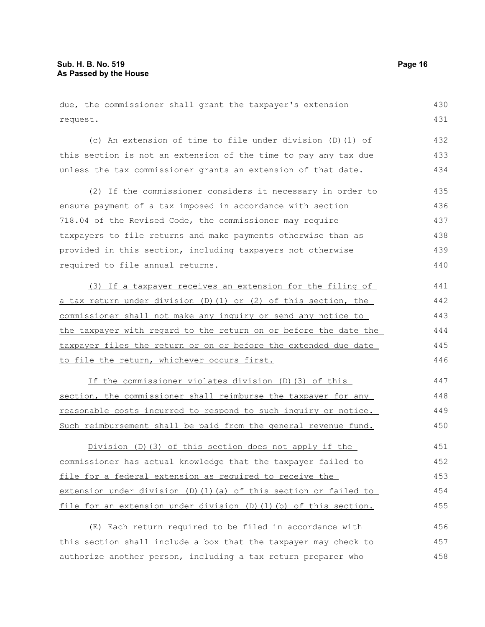due, the commissioner shall grant the taxpayer's extension request. (c) An extension of time to file under division (D)(1) of this section is not an extension of the time to pay any tax due unless the tax commissioner grants an extension of that date. (2) If the commissioner considers it necessary in order to ensure payment of a tax imposed in accordance with section 718.04 of the Revised Code, the commissioner may require taxpayers to file returns and make payments otherwise than as provided in this section, including taxpayers not otherwise required to file annual returns. (3) If a taxpayer receives an extension for the filing of a tax return under division (D)(1) or (2) of this section, the commissioner shall not make any inquiry or send any notice to the taxpayer with regard to the return on or before the date the taxpayer files the return or on or before the extended due date to file the return, whichever occurs first. If the commissioner violates division (D)(3) of this section, the commissioner shall reimburse the taxpayer for any reasonable costs incurred to respond to such inquiry or notice. Such reimbursement shall be paid from the general revenue fund. Division (D)(3) of this section does not apply if the commissioner has actual knowledge that the taxpayer failed to file for a federal extension as required to receive the extension under division (D)(1)(a) of this section or failed to file for an extension under division (D)(1)(b) of this section. (E) Each return required to be filed in accordance with 430 431 432 433 434 435 436 437 438 439 440 441 442 443 444 445 446 447 448 449 450 451 452 453 454 455 456

this section shall include a box that the taxpayer may check to authorize another person, including a tax return preparer who 457 458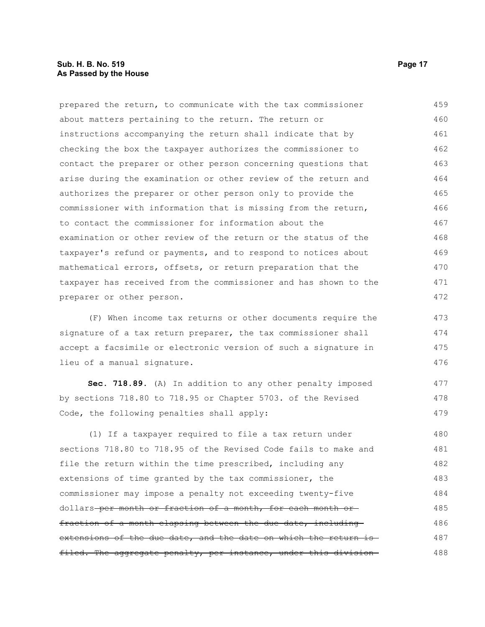prepared the return, to communicate with the tax commissioner about matters pertaining to the return. The return or instructions accompanying the return shall indicate that by checking the box the taxpayer authorizes the commissioner to contact the preparer or other person concerning questions that arise during the examination or other review of the return and authorizes the preparer or other person only to provide the commissioner with information that is missing from the return, to contact the commissioner for information about the examination or other review of the return or the status of the taxpayer's refund or payments, and to respond to notices about mathematical errors, offsets, or return preparation that the taxpayer has received from the commissioner and has shown to the preparer or other person. 459 460 461 462 463 464 465 466 467 468 469 470 471 472

(F) When income tax returns or other documents require the signature of a tax return preparer, the tax commissioner shall accept a facsimile or electronic version of such a signature in lieu of a manual signature. 473 474 475 476

**Sec. 718.89.** (A) In addition to any other penalty imposed by sections 718.80 to 718.95 or Chapter 5703. of the Revised Code, the following penalties shall apply:

(1) If a taxpayer required to file a tax return under sections 718.80 to 718.95 of the Revised Code fails to make and file the return within the time prescribed, including any extensions of time granted by the tax commissioner, the commissioner may impose a penalty not exceeding twenty-five dollars per month or fraction of a month, for each month or fraction of a month elapsing between the due date, including extensions of the due date, and the date on which the return is filed. The aggregate penalty, per instance, under this division-480 481 482 483 484 485 486 487 488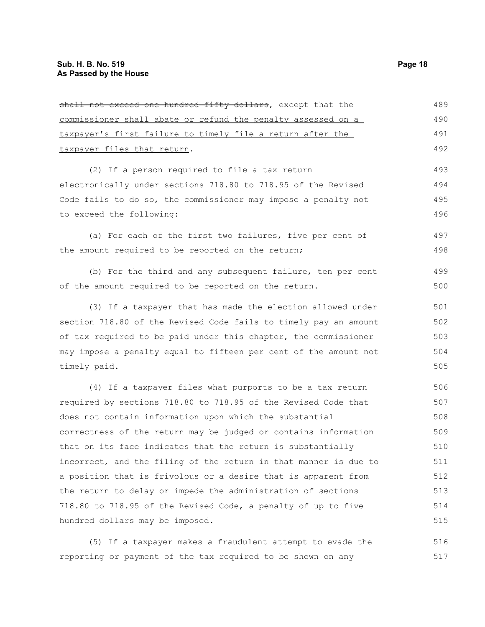| shall not exceed one hundred fifty dollars, except that the      | 489 |
|------------------------------------------------------------------|-----|
| commissioner shall abate or refund the penalty assessed on a     | 490 |
| taxpayer's first failure to timely file a return after the       | 491 |
| taxpayer files that return.                                      |     |
| (2) If a person required to file a tax return                    | 493 |
| electronically under sections 718.80 to 718.95 of the Revised    | 494 |
| Code fails to do so, the commissioner may impose a penalty not   | 495 |
| to exceed the following:                                         | 496 |
| (a) For each of the first two failures, five per cent of         | 497 |
| the amount required to be reported on the return;                | 498 |
| (b) For the third and any subsequent failure, ten per cent       | 499 |
| of the amount required to be reported on the return.             | 500 |
| (3) If a taxpayer that has made the election allowed under       | 501 |
| section 718.80 of the Revised Code fails to timely pay an amount | 502 |
| of tax required to be paid under this chapter, the commissioner  | 503 |
| may impose a penalty equal to fifteen per cent of the amount not | 504 |
| timely paid.                                                     | 505 |
| (4) If a taxpayer files what purports to be a tax return         | 506 |
| required by sections 718.80 to 718.95 of the Revised Code that   | 507 |
| does not contain information upon which the substantial          | 508 |
| correctness of the return may be judged or contains information  | 509 |
| that on its face indicates that the return is substantially      | 510 |
| incorrect, and the filing of the return in that manner is due to | 511 |
| a position that is frivolous or a desire that is apparent from   | 512 |
| the return to delay or impede the administration of sections     | 513 |
| 718.80 to 718.95 of the Revised Code, a penalty of up to five    | 514 |
| hundred dollars may be imposed.                                  | 515 |

(5) If a taxpayer makes a fraudulent attempt to evade the reporting or payment of the tax required to be shown on any 516 517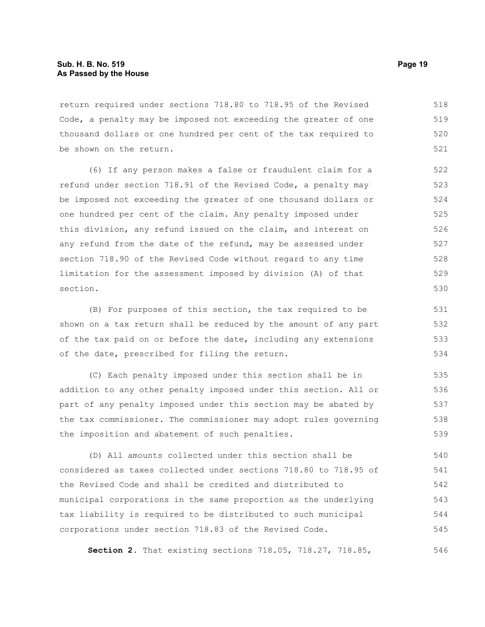return required under sections 718.80 to 718.95 of the Revised Code, a penalty may be imposed not exceeding the greater of one thousand dollars or one hundred per cent of the tax required to be shown on the return. 518 519 520 521

(6) If any person makes a false or fraudulent claim for a refund under section 718.91 of the Revised Code, a penalty may be imposed not exceeding the greater of one thousand dollars or one hundred per cent of the claim. Any penalty imposed under this division, any refund issued on the claim, and interest on any refund from the date of the refund, may be assessed under section 718.90 of the Revised Code without regard to any time limitation for the assessment imposed by division (A) of that section.

(B) For purposes of this section, the tax required to be shown on a tax return shall be reduced by the amount of any part of the tax paid on or before the date, including any extensions of the date, prescribed for filing the return.

(C) Each penalty imposed under this section shall be in addition to any other penalty imposed under this section. All or part of any penalty imposed under this section may be abated by the tax commissioner. The commissioner may adopt rules governing the imposition and abatement of such penalties. 535 536 537 538 539

(D) All amounts collected under this section shall be considered as taxes collected under sections 718.80 to 718.95 of the Revised Code and shall be credited and distributed to municipal corporations in the same proportion as the underlying tax liability is required to be distributed to such municipal corporations under section 718.83 of the Revised Code. 540 541 542 543 544 545

**Section 2.** That existing sections 718.05, 718.27, 718.85,